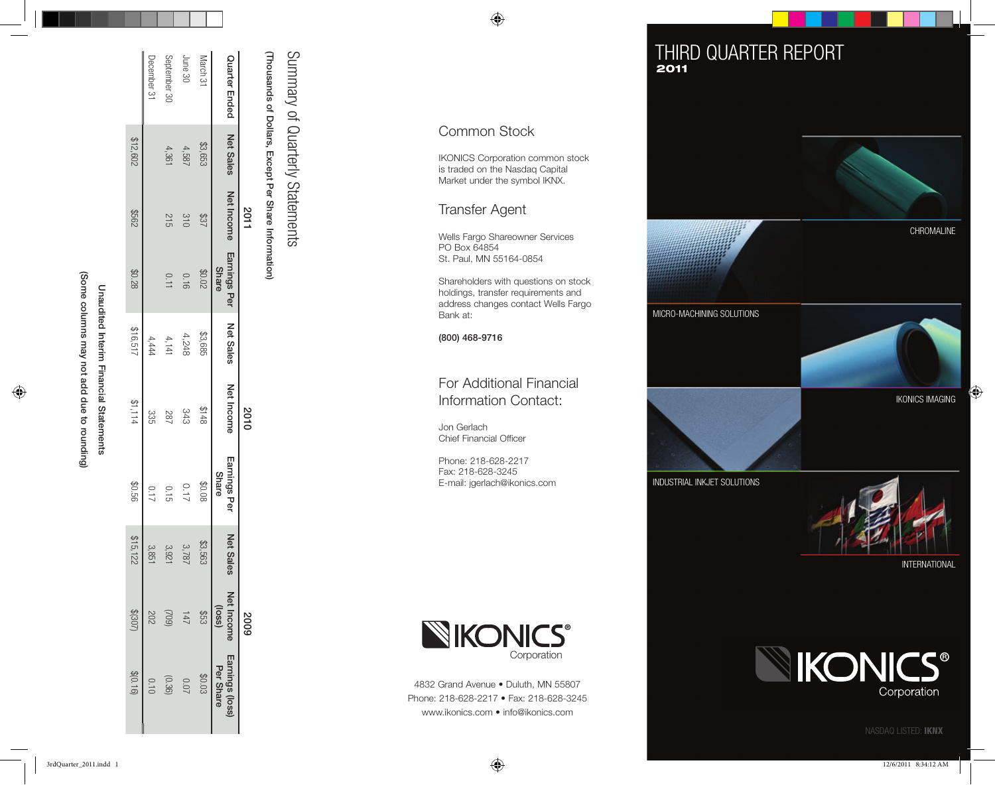| Some columns may not add due to rounding | naudited Interin Tinancial Statements |
|------------------------------------------|---------------------------------------|
|                                          |                                       |

|               |                  | 2011              |                              |                  | 2010              |                       |                  | 6007                 |                                     |  |
|---------------|------------------|-------------------|------------------------------|------------------|-------------------|-----------------------|------------------|----------------------|-------------------------------------|--|
| Quarter Ended | <b>Net Sales</b> | <b>Net Income</b> | Earnings Per<br><b>Share</b> | <b>Net Sales</b> | <b>Net Income</b> | Earnings Per<br>Share | <b>Net Sales</b> | Net Income<br>(loss) | <b>Earnings (loss)</b><br>Per Share |  |
| March 31      | \$3,653          | 183               | 20.02                        | \$3,685          | 3148              | 80.08                 | \$3,563          | \$53                 | <b>\$0.03</b>                       |  |
| June 30       | 4,587            | 310               | 0.16                         | 4,248            | 343               | 71.0                  | 3,787            | 147                  | <b>0.07</b>                         |  |
| September 30  | 4,361            | 215               | 0.11                         | 4,141            | 282               | 0.15                  | 3,921            | (602)                | (0.36)                              |  |
| December 31   |                  |                   |                              | 4,444            | 335               | 717                   | 3,851            |                      |                                     |  |
|               | \$12,602         | 299\$             | \$0.28                       | \$16,517         | \$1,114           | \$0.56                | \$15,122         | (205)                | \$(0.16)                            |  |
|               |                  |                   |                              |                  |                   |                       |                  |                      |                                     |  |

(Thousands of Dollars, Except Per Share Information) (Thousands of Dollars, Except Per Share Information) Thousands of Dollars, Except Per Share Information)

Summary of Quarterly Statements Summary of Quarterly Statements Summary of Quarterly

IKONICS Corporation common stock IKONICS Corporation common stock is traded on the Nasdaq Capital is traded on the Nasdaq Capital Market under the symbol IKNX. Market under the symbol IKNX.

#### Transfer Agent Transfer Agent

Wells Fargo Shareowner Services Wells Fargo Shareowner Services PO Box 64854 PO Box 64854 St. Paul, MN 55164-0854 St. Paul, MN 55164-0854

Shareholders with questions on stock Shareholders with questions on stock holdings, transfer requirements and holdings, transfer requirements and address changes contact Wells Fargo address changes contact Wells Fargo Bank at: Bank at:

(800) 468-9716 (800) 468-9716

## For Additional Financial For Additional Financial Information Contact: Information Contact:

Jon Gerlach Jon Gerlach Chief Financial Officer Chief Financial Officer

Phone: 218-628-2217 Phone: 218-628-2217 Fax: 218-628-3245 Fax: 218-628-3245 E-mail: jgerlach@ikonics.com E-mail: jgerlach@ikonics.com



4832 Grand Avenue • Duluth, MN 55807 4832 Grand Avenue • Duluth, MN 55807 Phone: 218-628-2217 • Fax: 218-628-3245 Phone: 218-628-2217 • Fax: 218-628-3245

# THIRD QUARTER REPORT 2011 2011